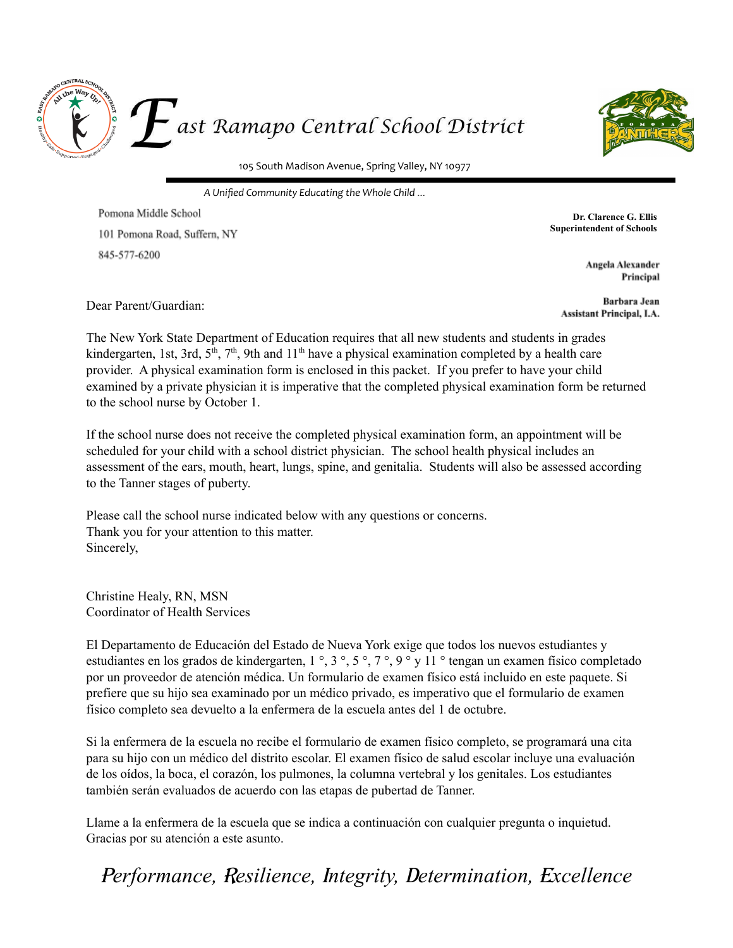



105 South Madison Avenue, Spring Valley, NY 10977

*A Unified Community Educating the Whole Child* …

Pomona Middle School 101 Pomona Road, Suffern, NY 845-577-6200

**Dr. Clarence G. Ellis Superintendent of Schools**

> **Angela Alexander** Principal

Dear Parent/Guardian:

**Barbara Jean Assistant Principal, I.A.** 

The New York State Department of Education requires that all new students and students in grades kindergarten, 1st, 3rd, 5<sup>th</sup>, 7<sup>th</sup>, 9th and 11<sup>th</sup> have a physical examination completed by a health care provider. A physical examination form is enclosed in this packet. If you prefer to have your child examined by a private physician it is imperative that the completed physical examination form be returned to the school nurse by October 1.

If the school nurse does not receive the completed physical examination form, an appointment will be scheduled for your child with a school district physician. The school health physical includes an assessment of the ears, mouth, heart, lungs, spine, and genitalia. Students will also be assessed according to the Tanner stages of puberty.

Please call the school nurse indicated below with any questions or concerns. Thank you for your attention to this matter. Sincerely,

Christine Healy, RN, MSN Coordinator of Health Services

El Departamento de Educación del Estado de Nueva York exige que todos los nuevos estudiantes y estudiantes en los grados de kindergarten, 1 °, 3 °, 5 °, 7 °, 9 ° y 11 ° tengan un examen físico completado por un proveedor de atención médica. Un formulario de examen físico está incluido en este paquete. Si prefiere que su hijo sea examinado por un médico privado, es imperativo que el formulario de examen físico completo sea devuelto a la enfermera de la escuela antes del 1 de octubre.

Si la enfermera de la escuela no recibe el formulario de examen físico completo, se programará una cita para su hijo con un médico del distrito escolar. El examen físico de salud escolar incluye una evaluación de los oídos, la boca, el corazón, los pulmones, la columna vertebral y los genitales. Los estudiantes también serán evaluados de acuerdo con las etapas de pubertad de Tanner.

Llame a la enfermera de la escuela que se indica a continuación con cualquier pregunta o inquietud. Gracias por su atención a este asunto.

<sup>P</sup>*erformance,* R*esilience,* <sup>I</sup>*ntegrity,* <sup>D</sup>*etermination,* <sup>E</sup>*xcellence*